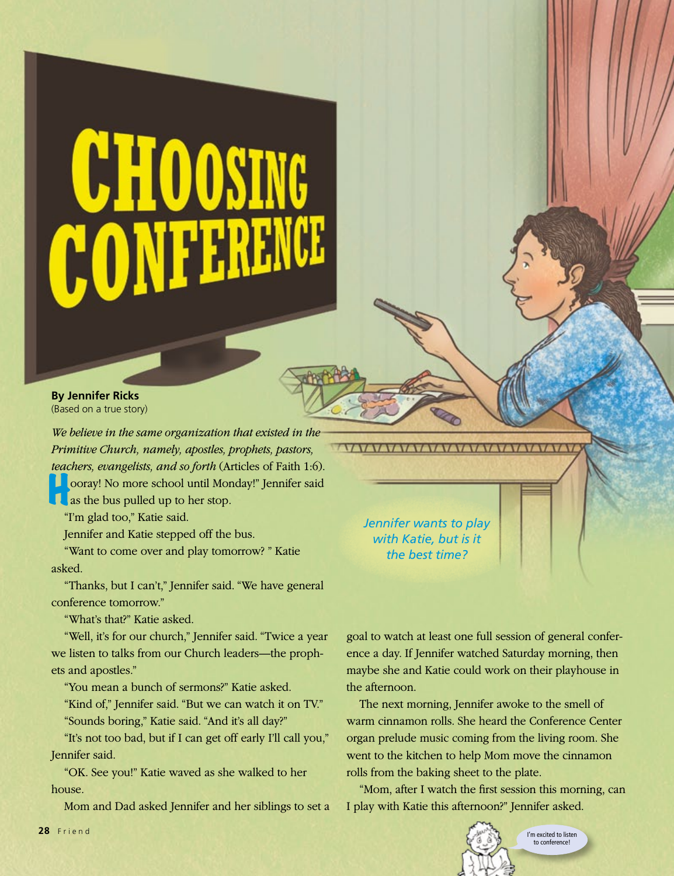## **CHOOSING** CONFERENCE

**By Jennifer Ricks** (Based on a true story)

*We believe in the same organization that existed in the Primitive Church, namely, apostles, prophets, pastors, teachers, evangelists, and so forth* (Articles of Faith 1:6).

**Hooray!** No more school until Monday!" Jennifer said as the bus pulled up to her stop.

"I'm glad too," Katie said.

Jennifer and Katie stepped off the bus.

"Want to come over and play tomorrow? " Katie asked.

"Thanks, but I can't," Jennifer said. "We have general conference tomorrow."

"What's that?" Katie asked.

"Well, it's for our church," Jennifer said. "Twice a year we listen to talks from our Church leaders—the prophets and apostles."

"You mean a bunch of sermons?" Katie asked.

"Kind of," Jennifer said. "But we can watch it on TV." "Sounds boring," Katie said. "And it's all day?"

"It's not too bad, but if I can get off early I'll call you," Jennifer said.

"OK. See you!" Katie waved as she walked to her house.

Mom and Dad asked Jennifer and her siblings to set a

*Jennifer wants to play with Katie, but is it the best time?*

<u>lyavavavavavavavavavavavavavavava</u>

goal to watch at least one full session of general conference a day. If Jennifer watched Saturday morning, then maybe she and Katie could work on their playhouse in the afternoon.

The next morning, Jennifer awoke to the smell of warm cinnamon rolls. She heard the Conference Center organ prelude music coming from the living room. She went to the kitchen to help Mom move the cinnamon rolls from the baking sheet to the plate.

"Mom, after I watch the first session this morning, can I play with Katie this afternoon?" Jennifer asked.